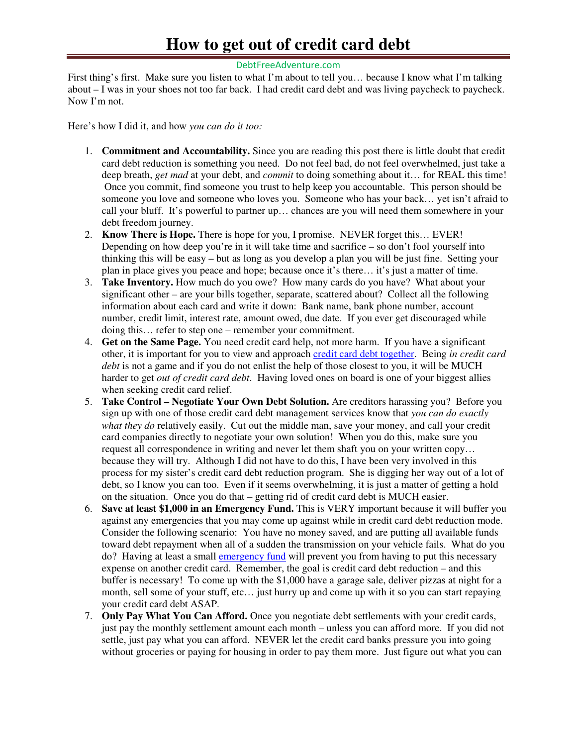## **How to get out of credit card debt**

## DebtFreeAdventure.com

First thing's first. Make sure you listen to what I'm about to tell you… because I know what I'm talking about – I was in your shoes not too far back. I had credit card debt and was living paycheck to paycheck. Now I'm not.

Here's how I did it, and how *you can do it too:*

- 1. **Commitment and Accountability.** Since you are reading this post there is little doubt that credit card debt reduction is something you need. Do not feel bad, do not feel overwhelmed, just take a deep breath, *get mad* at your debt, and *commit* to doing something about it… for REAL this time! Once you commit, find someone you trust to help keep you accountable. This person should be someone you love and someone who loves you. Someone who has your back… yet isn't afraid to call your bluff. It's powerful to partner up… chances are you will need them somewhere in your debt freedom journey.
- 2. **Know There is Hope.** There is hope for you, I promise. NEVER forget this… EVER! Depending on how deep you're in it will take time and sacrifice  $-$  so don't fool yourself into thinking this will be easy – but as long as you develop a plan you will be just fine. Setting your plan in place gives you peace and hope; because once it's there… it's just a matter of time.
- 3. **Take Inventory.** How much do you owe? How many cards do you have? What about your significant other – are your bills together, separate, scattered about? Collect all the following information about each card and write it down: Bank name, bank phone number, account number, credit limit, interest rate, amount owed, due date. If you ever get discouraged while doing this… refer to step one – remember your commitment.
- 4. **Get on the Same Page.** You need credit card help, not more harm. If you have a significant other, it is important for you to view and approach credit card debt together. Being *in credit card debt* is not a game and if you do not enlist the help of those closest to you, it will be MUCH harder to get *out of credit card debt*. Having loved ones on board is one of your biggest allies when seeking credit card relief.
- 5. **Take Control Negotiate Your Own Debt Solution.** Are creditors harassing you? Before you sign up with one of those credit card debt management services know that *you can do exactly what they do* relatively easily. Cut out the middle man, save your money, and call your credit card companies directly to negotiate your own solution! When you do this, make sure you request all correspondence in writing and never let them shaft you on your written copy… because they will try. Although I did not have to do this, I have been very involved in this process for my sister's credit card debt reduction program. She is digging her way out of a lot of debt, so I know you can too. Even if it seems overwhelming, it is just a matter of getting a hold on the situation. Once you do that – getting rid of credit card debt is MUCH easier.
- 6. **Save at least \$1,000 in an Emergency Fund.** This is VERY important because it will buffer you against any emergencies that you may come up against while in credit card debt reduction mode. Consider the following scenario: You have no money saved, and are putting all available funds toward debt repayment when all of a sudden the transmission on your vehicle fails. What do you do? Having at least a small emergency fund will prevent you from having to put this necessary expense on another credit card. Remember, the goal is credit card debt reduction – and this buffer is necessary! To come up with the \$1,000 have a garage sale, deliver pizzas at night for a month, sell some of your stuff, etc… just hurry up and come up with it so you can start repaying your credit card debt ASAP.
- 7. **Only Pay What You Can Afford.** Once you negotiate debt settlements with your credit cards, just pay the monthly settlement amount each month – unless you can afford more. If you did not settle, just pay what you can afford. NEVER let the credit card banks pressure you into going without groceries or paying for housing in order to pay them more. Just figure out what you can